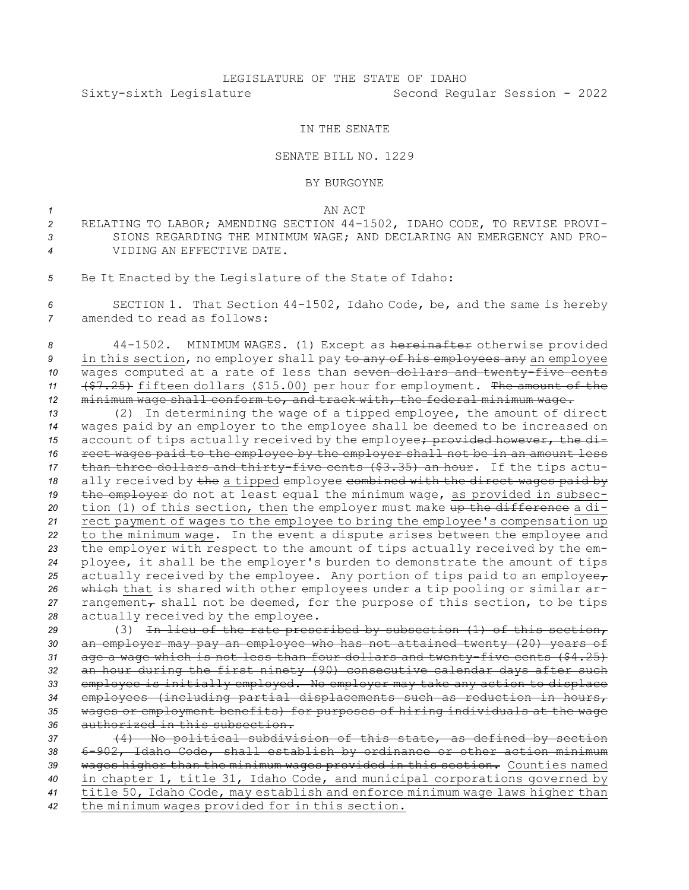## LEGISLATURE OF THE STATE OF IDAHO Sixty-sixth Legislature Second Regular Session - 2022

## IN THE SENATE

## SENATE BILL NO. 1229

## BY BURGOYNE

*1* AN ACT

- *<sup>2</sup>* RELATING TO LABOR; AMENDING SECTION 44-1502, IDAHO CODE, TO REVISE PROVI-*3* SIONS REGARDING THE MINIMUM WAGE; AND DECLARING AN EMERGENCY AND PRO-*4* VIDING AN EFFECTIVE DATE.
- *<sup>5</sup>* Be It Enacted by the Legislature of the State of Idaho:

*<sup>6</sup>* SECTION 1. That Section 44-1502, Idaho Code, be, and the same is hereby *7* amended to read as follows:

 44-1502. MINIMUM WAGES. (1) Except as hereinafter otherwise provided in this section, no employer shall pay to any of his employees any an employee 10 wages computed at a rate of less than seven dollars and twenty-five cents (\$7.25) fifteen dollars (\$15.00) per hour for employment. The amount of the minimum wage shall conform to, and track with, the federal minimum wage.

 (2) In determining the wage of <sup>a</sup> tipped employee, the amount of direct wages paid by an employer to the employee shall be deemed to be increased on 15 account of tips actually received by the employee; provided however, the di- rect wages paid to the employee by the employer shall not be in an amount less than three dollars and thirty-five cents (\$3.35) an hour. If the tips actu- ally received by the <sup>a</sup> tipped employee combined with the direct wages paid by the employer do not at least equal the minimum wage, as provided in subsec- tion (1) of this section, then the employer must make up the difference <sup>a</sup> di- rect payment of wages to the employee to bring the employee's compensation up to the minimum wage. In the event <sup>a</sup> dispute arises between the employee and the employer with respect to the amount of tips actually received by the em- ployee, it shall be the employer's burden to demonstrate the amount of tips 25 actually received by the employee. Any portion of tips paid to an employee $_{\mathcal{T}}$  which that is shared with other employees under <sup>a</sup> tip pooling or similar ar- rangement<sub> $\tau$ </sub> shall not be deemed, for the purpose of this section, to be tips actually received by the employee.

 (3) In lieu of the rate prescribed by subsection (1) of this section, an employer may pay an employee who has not attained twenty (20) years of age <sup>a</sup> wage which is not less than four dollars and twenty-five cents (\$4.25) an hour during the first ninety (90) consecutive calendar days after such employee is initially employed. No employer may take any action to displace employees (including partial displacements such as reduction in hours, wages or employment benefits) for purposes of hiring individuals at the wage authorized in this subsection.

 (4) No political subdivision of this state, as defined by section 6-902, Idaho Code, shall establish by ordinance or other action minimum wages higher than the minimum wages provided in this section. Counties named in chapter 1, title 31, Idaho Code, and municipal corporations governed by title 50, Idaho Code, may establish and enforce minimum wage laws higher than the minimum wages provided for in this section.